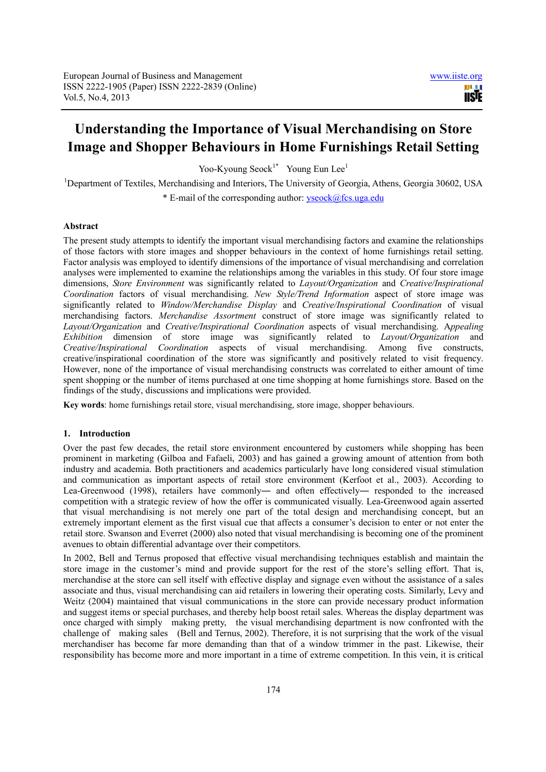# **Understanding the Importance of Visual Merchandising on Store Image and Shopper Behaviours in Home Furnishings Retail Setting**

Yoo-Kyoung Seock<sup>1\*</sup> Young Eun Lee<sup>1</sup>

<sup>1</sup>Department of Textiles, Merchandising and Interiors, The University of Georgia, Athens, Georgia 30602, USA \* E-mail of the corresponding author: yseock@fcs.uga.edu

# **Abstract**

The present study attempts to identify the important visual merchandising factors and examine the relationships of those factors with store images and shopper behaviours in the context of home furnishings retail setting. Factor analysis was employed to identify dimensions of the importance of visual merchandising and correlation analyses were implemented to examine the relationships among the variables in this study. Of four store image dimensions, *Store Environment* was significantly related to *Layout/Organization* and *Creative/Inspirational Coordination* factors of visual merchandising. *New Style/Trend Information* aspect of store image was significantly related to *Window/Merchandise Display* and *Creative/Inspirational Coordination* of visual merchandising factors. *Merchandise Assortment* construct of store image was significantly related to *Layout/Organization* and *Creative/Inspirational Coordination* aspects of visual merchandising. A*ppealing Exhibition* dimension of store image was significantly related to *Layout/Organization* and *Creative/Inspirational Coordination* aspects of visual merchandising. Among five constructs, creative/inspirational coordination of the store was significantly and positively related to visit frequency. However, none of the importance of visual merchandising constructs was correlated to either amount of time spent shopping or the number of items purchased at one time shopping at home furnishings store. Based on the findings of the study, discussions and implications were provided.

**Key words**: home furnishings retail store, visual merchandising, store image, shopper behaviours.

#### **1. Introduction**

Over the past few decades, the retail store environment encountered by customers while shopping has been prominent in marketing (Gilboa and Fafaeli, 2003) and has gained a growing amount of attention from both industry and academia. Both practitioners and academics particularly have long considered visual stimulation and communication as important aspects of retail store environment (Kerfoot et al., 2003). According to Lea-Greenwood (1998), retailers have commonly― and often effectively― responded to the increased competition with a strategic review of how the offer is communicated visually. Lea-Greenwood again asserted that visual merchandising is not merely one part of the total design and merchandising concept, but an extremely important element as the first visual cue that affects a consumer's decision to enter or not enter the retail store. Swanson and Everret (2000) also noted that visual merchandising is becoming one of the prominent avenues to obtain differential advantage over their competitors.

In 2002, Bell and Ternus proposed that effective visual merchandising techniques establish and maintain the store image in the customer's mind and provide support for the rest of the store's selling effort. That is, merchandise at the store can sell itself with effective display and signage even without the assistance of a sales associate and thus, visual merchandising can aid retailers in lowering their operating costs. Similarly, Levy and Weitz (2004) maintained that visual communications in the store can provide necessary product information and suggest items or special purchases, and thereby help boost retail sales. Whereas the display department was once charged with simply making pretty, the visual merchandising department is now confronted with the challenge of making sales (Bell and Ternus, 2002). Therefore, it is not surprising that the work of the visual merchandiser has become far more demanding than that of a window trimmer in the past. Likewise, their responsibility has become more and more important in a time of extreme competition. In this vein, it is critical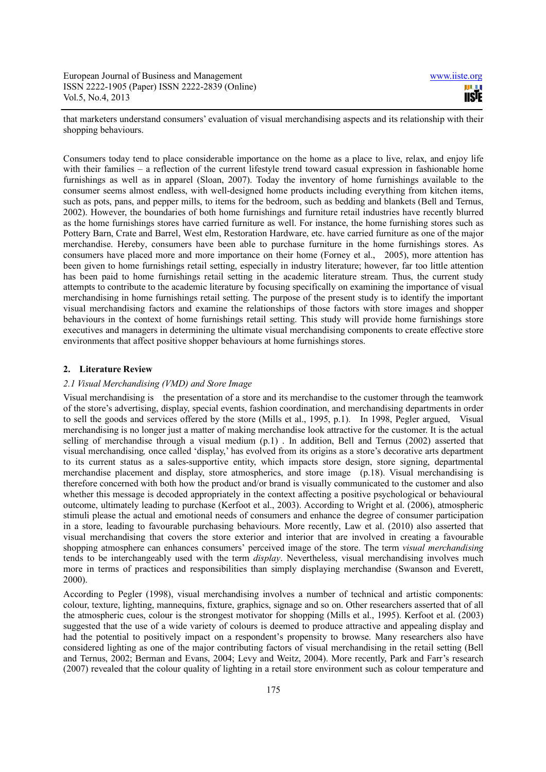that marketers understand consumers' evaluation of visual merchandising aspects and its relationship with their shopping behaviours.

Consumers today tend to place considerable importance on the home as a place to live, relax, and enjoy life with their families – a reflection of the current lifestyle trend toward casual expression in fashionable home furnishings as well as in apparel (Sloan, 2007). Today the inventory of home furnishings available to the consumer seems almost endless, with well-designed home products including everything from kitchen items, such as pots, pans, and pepper mills, to items for the bedroom, such as bedding and blankets (Bell and Ternus, 2002). However, the boundaries of both home furnishings and furniture retail industries have recently blurred as the home furnishings stores have carried furniture as well. For instance, the home furnishing stores such as Pottery Barn, Crate and Barrel, West elm, Restoration Hardware, etc. have carried furniture as one of the major merchandise. Hereby, consumers have been able to purchase furniture in the home furnishings stores. As consumers have placed more and more importance on their home (Forney et al., 2005), more attention has been given to home furnishings retail setting, especially in industry literature; however, far too little attention has been paid to home furnishings retail setting in the academic literature stream. Thus, the current study attempts to contribute to the academic literature by focusing specifically on examining the importance of visual merchandising in home furnishings retail setting. The purpose of the present study is to identify the important visual merchandising factors and examine the relationships of those factors with store images and shopper behaviours in the context of home furnishings retail setting. This study will provide home furnishings store executives and managers in determining the ultimate visual merchandising components to create effective store environments that affect positive shopper behaviours at home furnishings stores.

## **2. Literature Review**

### *2.1 Visual Merchandising (VMD) and Store Image*

Visual merchandising is the presentation of a store and its merchandise to the customer through the teamwork of the store's advertising, display, special events, fashion coordination, and merchandising departments in order to sell the goods and services offered by the store (Mills et al., 1995, p.1). In 1998, Pegler argued, Visual merchandising is no longer just a matter of making merchandise look attractive for the customer. It is the actual selling of merchandise through a visual medium (p.1) . In addition, Bell and Ternus (2002) asserted that visual merchandising*,* once called 'display,' has evolved from its origins as a store's decorative arts department to its current status as a sales-supportive entity, which impacts store design, store signing, departmental merchandise placement and display, store atmospherics, and store image (p.18). Visual merchandising is therefore concerned with both how the product and/or brand is visually communicated to the customer and also whether this message is decoded appropriately in the context affecting a positive psychological or behavioural outcome, ultimately leading to purchase (Kerfoot et al., 2003). According to Wright et al. (2006), atmospheric stimuli please the actual and emotional needs of consumers and enhance the degree of consumer participation in a store, leading to favourable purchasing behaviours. More recently, Law et al. (2010) also asserted that visual merchandising that covers the store exterior and interior that are involved in creating a favourable shopping atmosphere can enhances consumers' perceived image of the store. The term *visual merchandising* tends to be interchangeably used with the term *display*. Nevertheless, visual merchandising involves much more in terms of practices and responsibilities than simply displaying merchandise (Swanson and Everett, 2000).

According to Pegler (1998), visual merchandising involves a number of technical and artistic components: colour, texture, lighting, mannequins, fixture, graphics, signage and so on. Other researchers asserted that of all the atmospheric cues, colour is the strongest motivator for shopping (Mills et al., 1995). Kerfoot et al. (2003) suggested that the use of a wide variety of colours is deemed to produce attractive and appealing display and had the potential to positively impact on a respondent's propensity to browse. Many researchers also have considered lighting as one of the major contributing factors of visual merchandising in the retail setting (Bell and Ternus, 2002; Berman and Evans, 2004; Levy and Weitz, 2004). More recently, Park and Farr's research (2007) revealed that the colour quality of lighting in a retail store environment such as colour temperature and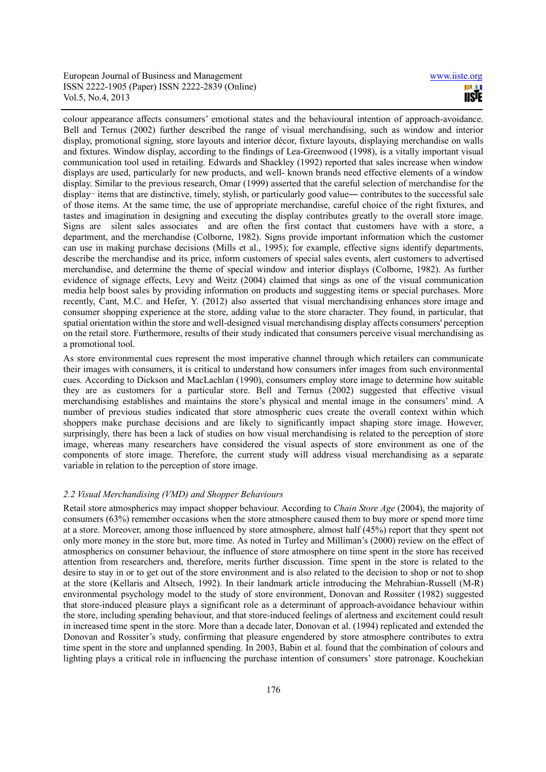colour appearance affects consumers' emotional states and the behavioural intention of approach-avoidance. Bell and Ternus (2002) further described the range of visual merchandising, such as window and interior display, promotional signing, store layouts and interior décor, fixture layouts, displaying merchandise on walls and fixtures. Window display, according to the findings of Lea-Greenwood (1998), is a vitally important visual communication tool used in retailing. Edwards and Shackley (1992) reported that sales increase when window displays are used, particularly for new products, and well- known brands need effective elements of a window display. Similar to the previous research, Omar (1999) asserted that the careful selection of merchandise for the display– items that are distinctive, timely, stylish, or particularly good value— contributes to the successful sale of those items. At the same time, the use of appropriate merchandise, careful choice of the right fixtures, and tastes and imagination in designing and executing the display contributes greatly to the overall store image. Signs are silent sales associates and are often the first contact that customers have with a store, a department, and the merchandise (Colborne, 1982). Signs provide important information which the customer can use in making purchase decisions (Mills et al., 1995); for example, effective signs identify departments, describe the merchandise and its price, inform customers of special sales events, alert customers to advertised merchandise, and determine the theme of special window and interior displays (Colborne, 1982). As further evidence of signage effects, Levy and Weitz (2004) claimed that sings as one of the visual communication media help boost sales by providing information on products and suggesting items or special purchases. More recently, Cant, M.C. and Hefer, Y. (2012) also asserted that visual merchandising enhances store image and consumer shopping experience at the store, adding value to the store character. They found, in particular, that spatial orientation within the store and well-designed visual merchandising display affects consumers' perception on the retail store. Furthermore, results of their study indicated that consumers perceive visual merchandising as a promotional tool.

As store environmental cues represent the most imperative channel through which retailers can communicate their images with consumers, it is critical to understand how consumers infer images from such environmental cues. According to Dickson and MacLachlan (1990), consumers employ store image to determine how suitable they are as customers for a particular store. Bell and Ternus (2002) suggested that effective visual merchandising establishes and maintains the store's physical and mental image in the consumers' mind. A number of previous studies indicated that store atmospheric cues create the overall context within which shoppers make purchase decisions and are likely to significantly impact shaping store image. However, surprisingly, there has been a lack of studies on how visual merchandising is related to the perception of store image, whereas many researchers have considered the visual aspects of store environment as one of the components of store image. Therefore, the current study will address visual merchandising as a separate variable in relation to the perception of store image.

#### *2.2 Visual Merchandising (VMD) and Shopper Behaviours*

Retail store atmospherics may impact shopper behaviour. According to *Chain Store Age* (2004), the majority of consumers (63%) remember occasions when the store atmosphere caused them to buy more or spend more time at a store. Moreover, among those influenced by store atmosphere, almost half (45%) report that they spent not only more money in the store but, more time. As noted in Turley and Milliman's (2000) review on the effect of atmospherics on consumer behaviour, the influence of store atmosphere on time spent in the store has received attention from researchers and, therefore, merits further discussion. Time spent in the store is related to the desire to stay in or to get out of the store environment and is also related to the decision to shop or not to shop at the store (Kellaris and Altsech, 1992). In their landmark article introducing the Mehrabian-Russell (M-R) environmental psychology model to the study of store environment, Donovan and Rossiter (1982) suggested that store-induced pleasure plays a significant role as a determinant of approach-avoidance behaviour within the store, including spending behaviour, and that store-induced feelings of alertness and excitement could result in increased time spent in the store. More than a decade later, Donovan et al. (1994) replicated and extended the Donovan and Rossiter's study, confirming that pleasure engendered by store atmosphere contributes to extra time spent in the store and unplanned spending. In 2003, Babin et al. found that the combination of colours and lighting plays a critical role in influencing the purchase intention of consumers' store patronage. Kouchekian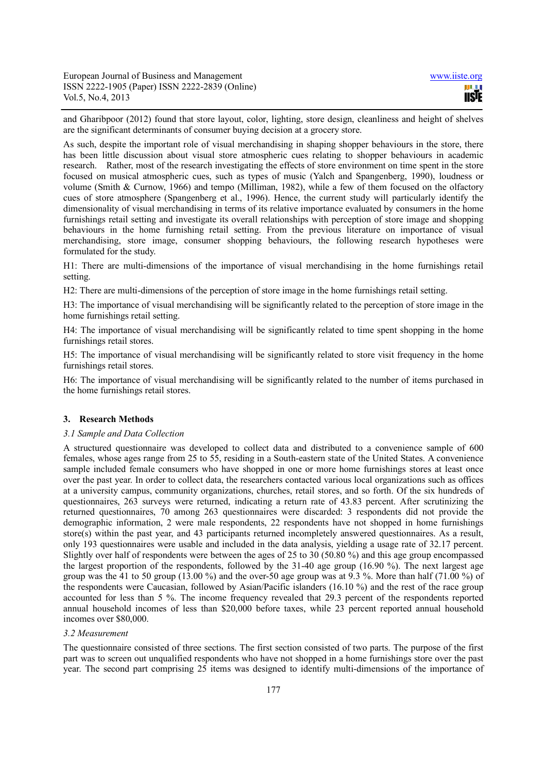and Gharibpoor (2012) found that store layout, color, lighting, store design, cleanliness and height of shelves are the significant determinants of consumer buying decision at a grocery store.

As such, despite the important role of visual merchandising in shaping shopper behaviours in the store, there has been little discussion about visual store atmospheric cues relating to shopper behaviours in academic research. Rather, most of the research investigating the effects of store environment on time spent in the store focused on musical atmospheric cues, such as types of music (Yalch and Spangenberg, 1990), loudness or volume (Smith & Curnow, 1966) and tempo (Milliman, 1982), while a few of them focused on the olfactory cues of store atmosphere (Spangenberg et al., 1996). Hence, the current study will particularly identify the dimensionality of visual merchandising in terms of its relative importance evaluated by consumers in the home furnishings retail setting and investigate its overall relationships with perception of store image and shopping behaviours in the home furnishing retail setting. From the previous literature on importance of visual merchandising, store image, consumer shopping behaviours, the following research hypotheses were formulated for the study.

H1: There are multi-dimensions of the importance of visual merchandising in the home furnishings retail setting.

H2: There are multi-dimensions of the perception of store image in the home furnishings retail setting.

H3: The importance of visual merchandising will be significantly related to the perception of store image in the home furnishings retail setting.

H4: The importance of visual merchandising will be significantly related to time spent shopping in the home furnishings retail stores.

H5: The importance of visual merchandising will be significantly related to store visit frequency in the home furnishings retail stores.

H6: The importance of visual merchandising will be significantly related to the number of items purchased in the home furnishings retail stores.

# **3. Research Methods**

#### *3.1 Sample and Data Collection*

A structured questionnaire was developed to collect data and distributed to a convenience sample of 600 females, whose ages range from 25 to 55, residing in a South-eastern state of the United States. A convenience sample included female consumers who have shopped in one or more home furnishings stores at least once over the past year. In order to collect data, the researchers contacted various local organizations such as offices at a university campus, community organizations, churches, retail stores, and so forth. Of the six hundreds of questionnaires, 263 surveys were returned, indicating a return rate of 43.83 percent. After scrutinizing the returned questionnaires, 70 among 263 questionnaires were discarded: 3 respondents did not provide the demographic information, 2 were male respondents, 22 respondents have not shopped in home furnishings store(s) within the past year, and 43 participants returned incompletely answered questionnaires. As a result, only 193 questionnaires were usable and included in the data analysis, yielding a usage rate of 32.17 percent. Slightly over half of respondents were between the ages of 25 to 30 (50.80 %) and this age group encompassed the largest proportion of the respondents, followed by the 31-40 age group (16.90 %). The next largest age group was the 41 to 50 group (13.00 %) and the over-50 age group was at 9.3 %. More than half (71.00 %) of the respondents were Caucasian, followed by Asian/Pacific islanders (16.10 %) and the rest of the race group accounted for less than 5 %. The income frequency revealed that 29.3 percent of the respondents reported annual household incomes of less than \$20,000 before taxes, while 23 percent reported annual household incomes over \$80,000.

#### *3.2 Measurement*

The questionnaire consisted of three sections. The first section consisted of two parts. The purpose of the first part was to screen out unqualified respondents who have not shopped in a home furnishings store over the past year. The second part comprising 25 items was designed to identify multi-dimensions of the importance of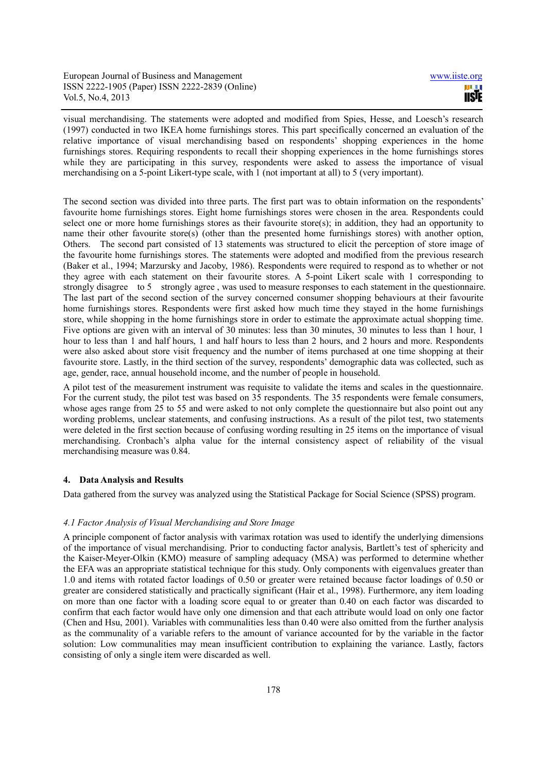visual merchandising. The statements were adopted and modified from Spies, Hesse, and Loesch's research (1997) conducted in two IKEA home furnishings stores. This part specifically concerned an evaluation of the relative importance of visual merchandising based on respondents' shopping experiences in the home furnishings stores. Requiring respondents to recall their shopping experiences in the home furnishings stores while they are participating in this survey, respondents were asked to assess the importance of visual merchandising on a 5-point Likert-type scale, with 1 (not important at all) to 5 (very important).

The second section was divided into three parts. The first part was to obtain information on the respondents' favourite home furnishings stores. Eight home furnishings stores were chosen in the area. Respondents could select one or more home furnishings stores as their favourite store(s); in addition, they had an opportunity to name their other favourite store(s) (other than the presented home furnishings stores) with another option, Others. The second part consisted of 13 statements was structured to elicit the perception of store image of the favourite home furnishings stores. The statements were adopted and modified from the previous research (Baker et al., 1994; Marzursky and Jacoby, 1986). Respondents were required to respond as to whether or not they agree with each statement on their favourite stores. A 5-point Likert scale with 1 corresponding to strongly disagree to 5 strongly agree , was used to measure responses to each statement in the questionnaire. The last part of the second section of the survey concerned consumer shopping behaviours at their favourite home furnishings stores. Respondents were first asked how much time they stayed in the home furnishings store, while shopping in the home furnishings store in order to estimate the approximate actual shopping time. Five options are given with an interval of 30 minutes: less than 30 minutes, 30 minutes to less than 1 hour, 1 hour to less than 1 and half hours, 1 and half hours to less than 2 hours, and 2 hours and more. Respondents were also asked about store visit frequency and the number of items purchased at one time shopping at their favourite store. Lastly, in the third section of the survey, respondents' demographic data was collected, such as age, gender, race, annual household income, and the number of people in household.

A pilot test of the measurement instrument was requisite to validate the items and scales in the questionnaire. For the current study, the pilot test was based on 35 respondents. The 35 respondents were female consumers, whose ages range from 25 to 55 and were asked to not only complete the questionnaire but also point out any wording problems, unclear statements, and confusing instructions. As a result of the pilot test, two statements were deleted in the first section because of confusing wording resulting in 25 items on the importance of visual merchandising. Cronbach's alpha value for the internal consistency aspect of reliability of the visual merchandising measure was 0.84.

# **4. Data Analysis and Results**

Data gathered from the survey was analyzed using the Statistical Package for Social Science (SPSS) program.

## *4.1 Factor Analysis of Visual Merchandising and Store Image*

A principle component of factor analysis with varimax rotation was used to identify the underlying dimensions of the importance of visual merchandising. Prior to conducting factor analysis, Bartlett's test of sphericity and the Kaiser-Meyer-Olkin (KMO) measure of sampling adequacy (MSA) was performed to determine whether the EFA was an appropriate statistical technique for this study. Only components with eigenvalues greater than 1.0 and items with rotated factor loadings of 0.50 or greater were retained because factor loadings of 0.50 or greater are considered statistically and practically significant (Hair et al., 1998). Furthermore, any item loading on more than one factor with a loading score equal to or greater than 0.40 on each factor was discarded to confirm that each factor would have only one dimension and that each attribute would load on only one factor (Chen and Hsu, 2001). Variables with communalities less than 0.40 were also omitted from the further analysis as the communality of a variable refers to the amount of variance accounted for by the variable in the factor solution: Low communalities may mean insufficient contribution to explaining the variance. Lastly, factors consisting of only a single item were discarded as well.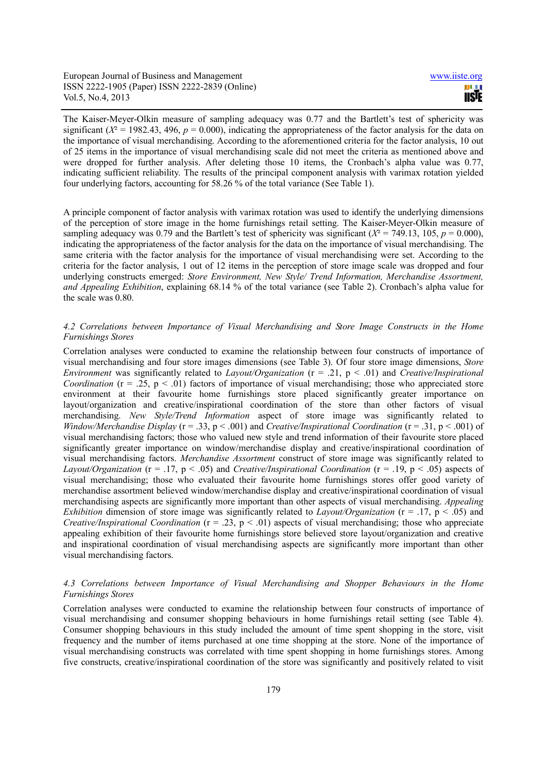The Kaiser-Meyer-Olkin measure of sampling adequacy was 0.77 and the Bartlett's test of sphericity was significant ( $X^2 = 1982.43$ , 496,  $p = 0.000$ ), indicating the appropriateness of the factor analysis for the data on the importance of visual merchandising. According to the aforementioned criteria for the factor analysis, 10 out of 25 items in the importance of visual merchandising scale did not meet the criteria as mentioned above and were dropped for further analysis. After deleting those 10 items, the Cronbach's alpha value was 0.77, indicating sufficient reliability. The results of the principal component analysis with varimax rotation yielded four underlying factors, accounting for 58.26 % of the total variance (See Table 1).

A principle component of factor analysis with varimax rotation was used to identify the underlying dimensions of the perception of store image in the home furnishings retail setting. The Kaiser-Meyer-Olkin measure of sampling adequacy was 0.79 and the Bartlett's test of sphericity was significant ( $X^2 = 749.13$ , 105,  $p = 0.000$ ), indicating the appropriateness of the factor analysis for the data on the importance of visual merchandising. The same criteria with the factor analysis for the importance of visual merchandising were set. According to the criteria for the factor analysis, 1 out of 12 items in the perception of store image scale was dropped and four underlying constructs emerged: *Store Environment, New Style/ Trend Information, Merchandise Assortment, and Appealing Exhibition*, explaining 68.14 % of the total variance (see Table 2). Cronbach's alpha value for the scale was 0.80.

# *4.2 Correlations between Importance of Visual Merchandising and Store Image Constructs in the Home Furnishings Stores*

Correlation analyses were conducted to examine the relationship between four constructs of importance of visual merchandising and four store images dimensions (see Table 3). Of four store image dimensions, *Store Environment* was significantly related to *Layout/Organization* (r = .21, p < .01) and *Creative/Inspirational Coordination* ( $r = .25$ ,  $p < .01$ ) factors of importance of visual merchandising; those who appreciated store environment at their favourite home furnishings store placed significantly greater importance on layout/organization and creative/inspirational coordination of the store than other factors of visual merchandising. *New Style/Trend Information* aspect of store image was significantly related to *Window/Merchandise Display* (r = .33, p < .001) and *Creative/Inspirational Coordination* (r = .31, p < .001) of visual merchandising factors; those who valued new style and trend information of their favourite store placed significantly greater importance on window/merchandise display and creative/inspirational coordination of visual merchandising factors. *Merchandise Assortment* construct of store image was significantly related to *Layout/Organization* (r = .17, p < .05) and *Creative/Inspirational Coordination* (r = .19, p < .05) aspects of visual merchandising; those who evaluated their favourite home furnishings stores offer good variety of merchandise assortment believed window/merchandise display and creative/inspirational coordination of visual merchandising aspects are significantly more important than other aspects of visual merchandising. *Appealing Exhibition* dimension of store image was significantly related to *Layout/Organization* (r = .17, p < .05) and *Creative/Inspirational Coordination* (r = .23, p < .01) aspects of visual merchandising; those who appreciate appealing exhibition of their favourite home furnishings store believed store layout/organization and creative and inspirational coordination of visual merchandising aspects are significantly more important than other visual merchandising factors.

# *4.3 Correlations between Importance of Visual Merchandising and Shopper Behaviours in the Home Furnishings Stores*

Correlation analyses were conducted to examine the relationship between four constructs of importance of visual merchandising and consumer shopping behaviours in home furnishings retail setting (see Table 4). Consumer shopping behaviours in this study included the amount of time spent shopping in the store, visit frequency and the number of items purchased at one time shopping at the store. None of the importance of visual merchandising constructs was correlated with time spent shopping in home furnishings stores. Among five constructs, creative/inspirational coordination of the store was significantly and positively related to visit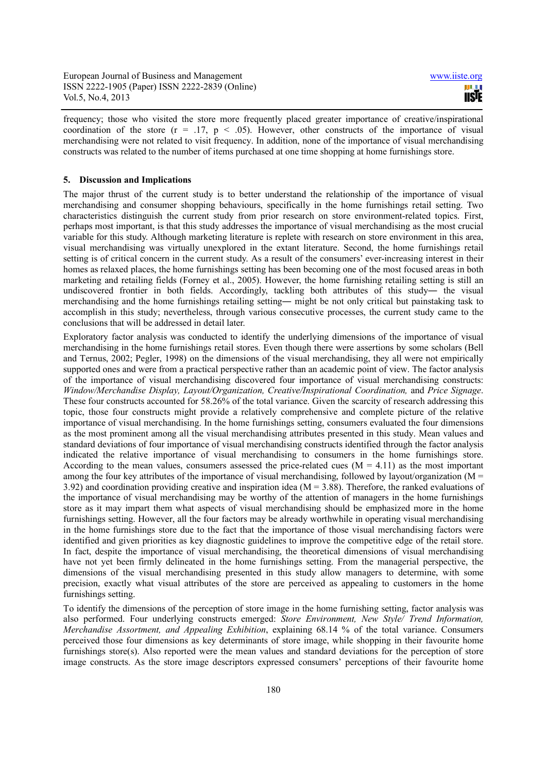frequency; those who visited the store more frequently placed greater importance of creative/inspirational coordination of the store  $(r = .17, p < .05)$ . However, other constructs of the importance of visual merchandising were not related to visit frequency. In addition, none of the importance of visual merchandising constructs was related to the number of items purchased at one time shopping at home furnishings store.

#### **5. Discussion and Implications**

The major thrust of the current study is to better understand the relationship of the importance of visual merchandising and consumer shopping behaviours, specifically in the home furnishings retail setting. Two characteristics distinguish the current study from prior research on store environment-related topics. First, perhaps most important, is that this study addresses the importance of visual merchandising as the most crucial variable for this study. Although marketing literature is replete with research on store environment in this area, visual merchandising was virtually unexplored in the extant literature. Second, the home furnishings retail setting is of critical concern in the current study. As a result of the consumers' ever-increasing interest in their homes as relaxed places, the home furnishings setting has been becoming one of the most focused areas in both marketing and retailing fields (Forney et al., 2005). However, the home furnishing retailing setting is still an undiscovered frontier in both fields. Accordingly, tackling both attributes of this study― the visual merchandising and the home furnishings retailing setting― might be not only critical but painstaking task to accomplish in this study; nevertheless, through various consecutive processes, the current study came to the conclusions that will be addressed in detail later.

Exploratory factor analysis was conducted to identify the underlying dimensions of the importance of visual merchandising in the home furnishings retail stores. Even though there were assertions by some scholars (Bell and Ternus, 2002; Pegler, 1998) on the dimensions of the visual merchandising, they all were not empirically supported ones and were from a practical perspective rather than an academic point of view. The factor analysis of the importance of visual merchandising discovered four importance of visual merchandising constructs: *Window/Merchandise Display, Layout/Organization, Creative/Inspirational Coordination,* and *Price Signage*. These four constructs accounted for 58.26% of the total variance. Given the scarcity of research addressing this topic, those four constructs might provide a relatively comprehensive and complete picture of the relative importance of visual merchandising. In the home furnishings setting, consumers evaluated the four dimensions as the most prominent among all the visual merchandising attributes presented in this study. Mean values and standard deviations of four importance of visual merchandising constructs identified through the factor analysis indicated the relative importance of visual merchandising to consumers in the home furnishings store. According to the mean values, consumers assessed the price-related cues  $(M = 4.11)$  as the most important among the four key attributes of the importance of visual merchandising, followed by layout/organization ( $M =$ 3.92) and coordination providing creative and inspiration idea ( $M = 3.88$ ). Therefore, the ranked evaluations of the importance of visual merchandising may be worthy of the attention of managers in the home furnishings store as it may impart them what aspects of visual merchandising should be emphasized more in the home furnishings setting. However, all the four factors may be already worthwhile in operating visual merchandising in the home furnishings store due to the fact that the importance of those visual merchandising factors were identified and given priorities as key diagnostic guidelines to improve the competitive edge of the retail store. In fact, despite the importance of visual merchandising, the theoretical dimensions of visual merchandising have not yet been firmly delineated in the home furnishings setting. From the managerial perspective, the dimensions of the visual merchandising presented in this study allow managers to determine, with some precision, exactly what visual attributes of the store are perceived as appealing to customers in the home furnishings setting.

To identify the dimensions of the perception of store image in the home furnishing setting, factor analysis was also performed. Four underlying constructs emerged: *Store Environment, New Style/ Trend Information, Merchandise Assortment, and Appealing Exhibition*, explaining 68.14 % of the total variance. Consumers perceived those four dimensions as key determinants of store image, while shopping in their favourite home furnishings store(s). Also reported were the mean values and standard deviations for the perception of store image constructs. As the store image descriptors expressed consumers' perceptions of their favourite home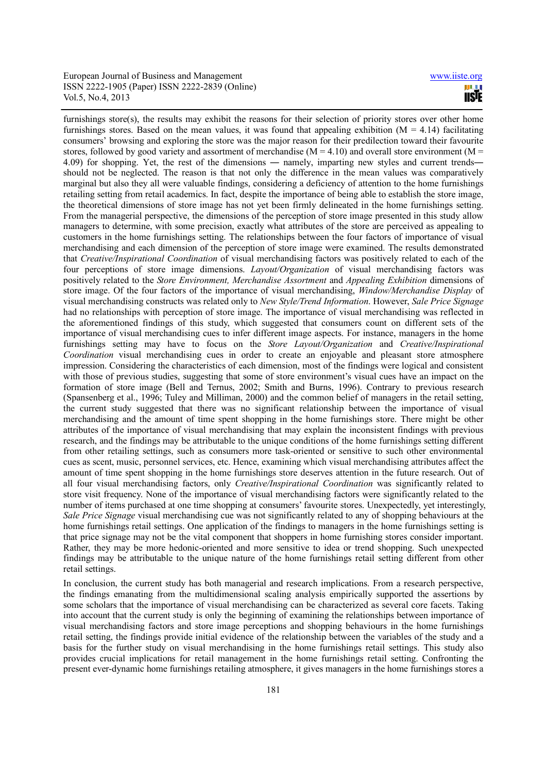**USTE** 

furnishings store(s), the results may exhibit the reasons for their selection of priority stores over other home furnishings stores. Based on the mean values, it was found that appealing exhibition ( $M = 4.14$ ) facilitating consumers' browsing and exploring the store was the major reason for their predilection toward their favourite stores, followed by good variety and assortment of merchandise ( $M = 4.10$ ) and overall store environment ( $M =$ 4.09) for shopping. Yet, the rest of the dimensions ― namely, imparting new styles and current trends― should not be neglected. The reason is that not only the difference in the mean values was comparatively marginal but also they all were valuable findings, considering a deficiency of attention to the home furnishings retailing setting from retail academics. In fact, despite the importance of being able to establish the store image, the theoretical dimensions of store image has not yet been firmly delineated in the home furnishings setting. From the managerial perspective, the dimensions of the perception of store image presented in this study allow managers to determine, with some precision, exactly what attributes of the store are perceived as appealing to customers in the home furnishings setting. The relationships between the four factors of importance of visual merchandising and each dimension of the perception of store image were examined. The results demonstrated that *Creative/Inspirational Coordination* of visual merchandising factors was positively related to each of the four perceptions of store image dimensions. *Layout/Organization* of visual merchandising factors was positively related to the *Store Environment, Merchandise Assortment* and *Appealing Exhibition* dimensions of store image. Of the four factors of the importance of visual merchandising, *Window/Merchandise Display* of visual merchandising constructs was related only to *New Style/Trend Information*. However, *Sale Price Signage* had no relationships with perception of store image. The importance of visual merchandising was reflected in the aforementioned findings of this study, which suggested that consumers count on different sets of the importance of visual merchandising cues to infer different image aspects. For instance, managers in the home furnishings setting may have to focus on the *Store Layout/Organization* and *Creative/Inspirational Coordination* visual merchandising cues in order to create an enjoyable and pleasant store atmosphere impression. Considering the characteristics of each dimension, most of the findings were logical and consistent with those of previous studies, suggesting that some of store environment's visual cues have an impact on the formation of store image (Bell and Ternus, 2002; Smith and Burns, 1996). Contrary to previous research (Spansenberg et al., 1996; Tuley and Milliman, 2000) and the common belief of managers in the retail setting, the current study suggested that there was no significant relationship between the importance of visual merchandising and the amount of time spent shopping in the home furnishings store. There might be other attributes of the importance of visual merchandising that may explain the inconsistent findings with previous research, and the findings may be attributable to the unique conditions of the home furnishings setting different from other retailing settings, such as consumers more task-oriented or sensitive to such other environmental cues as scent, music, personnel services, etc. Hence, examining which visual merchandising attributes affect the amount of time spent shopping in the home furnishings store deserves attention in the future research. Out of all four visual merchandising factors, only *Creative/Inspirational Coordination* was significantly related to store visit frequency. None of the importance of visual merchandising factors were significantly related to the number of items purchased at one time shopping at consumers' favourite stores. Unexpectedly, yet interestingly, *Sale Price Signage* visual merchandising cue was not significantly related to any of shopping behaviours at the home furnishings retail settings. One application of the findings to managers in the home furnishings setting is that price signage may not be the vital component that shoppers in home furnishing stores consider important. Rather, they may be more hedonic-oriented and more sensitive to idea or trend shopping. Such unexpected findings may be attributable to the unique nature of the home furnishings retail setting different from other retail settings.

In conclusion, the current study has both managerial and research implications. From a research perspective, the findings emanating from the multidimensional scaling analysis empirically supported the assertions by some scholars that the importance of visual merchandising can be characterized as several core facets. Taking into account that the current study is only the beginning of examining the relationships between importance of visual merchandising factors and store image perceptions and shopping behaviours in the home furnishings retail setting, the findings provide initial evidence of the relationship between the variables of the study and a basis for the further study on visual merchandising in the home furnishings retail settings. This study also provides crucial implications for retail management in the home furnishings retail setting. Confronting the present ever-dynamic home furnishings retailing atmosphere, it gives managers in the home furnishings stores a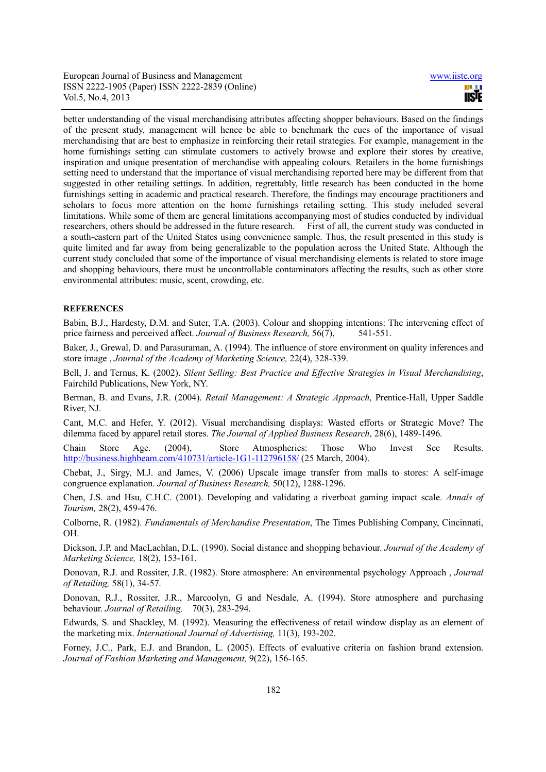better understanding of the visual merchandising attributes affecting shopper behaviours. Based on the findings of the present study, management will hence be able to benchmark the cues of the importance of visual merchandising that are best to emphasize in reinforcing their retail strategies. For example, management in the home furnishings setting can stimulate customers to actively browse and explore their stores by creative, inspiration and unique presentation of merchandise with appealing colours. Retailers in the home furnishings setting need to understand that the importance of visual merchandising reported here may be different from that suggested in other retailing settings. In addition, regrettably, little research has been conducted in the home furnishings setting in academic and practical research. Therefore, the findings may encourage practitioners and scholars to focus more attention on the home furnishings retailing setting. This study included several limitations. While some of them are general limitations accompanying most of studies conducted by individual researchers, others should be addressed in the future research. First of all, the current study was conducted in a south-eastern part of the United States using convenience sample. Thus, the result presented in this study is quite limited and far away from being generalizable to the population across the United State. Although the current study concluded that some of the importance of visual merchandising elements is related to store image and shopping behaviours, there must be uncontrollable contaminators affecting the results, such as other store environmental attributes: music, scent, crowding, etc.

## **REFERENCES**

Babin, B.J., Hardesty, D.M. and Suter, T.A. (2003). Colour and shopping intentions: The intervening effect of price fairness and perceived affect. *Journal of Business Research*, 56(7), 541-551.

Baker, J., Grewal, D. and Parasuraman, A. (1994). The influence of store environment on quality inferences and store image , *Journal of the Academy of Marketing Science,* 22(4), 328-339.

Bell, J. and Ternus, K. (2002). *Silent Selling: Best Practice and Effective Strategies in Visual Merchandising*, Fairchild Publications, New York, NY.

Berman, B. and Evans, J.R. (2004). *Retail Management: A Strategic Approach*, Prentice-Hall, Upper Saddle River, NJ.

Cant, M.C. and Hefer, Y. (2012). Visual merchandising displays: Wasted efforts or Strategic Move? The dilemma faced by apparel retail stores. *The Journal of Applied Business Research*, 28(6), 1489-1496.

Chain Store Age. (2004), Store Atmospherics: Those Who Invest See Results. http://business.highbeam.com/410731/article-1G1-112796158/ (25 March, 2004).

Chebat, J., Sirgy, M.J. and James, V. (2006) Upscale image transfer from malls to stores: A self-image congruence explanation. *Journal of Business Research,* 50(12), 1288-1296.

Chen, J.S. and Hsu, C.H.C. (2001). Developing and validating a riverboat gaming impact scale. *Annals of Tourism,* 28(2), 459-476.

Colborne, R. (1982). *Fundamentals of Merchandise Presentation*, The Times Publishing Company, Cincinnati, OH.

Dickson, J.P. and MacLachlan, D.L. (1990). Social distance and shopping behaviour. *Journal of the Academy of Marketing Science,* 18(2), 153-161.

Donovan, R.J. and Rossiter, J.R. (1982). Store atmosphere: An environmental psychology Approach , *Journal of Retailing,* 58(1), 34-57.

Donovan, R.J., Rossiter, J.R., Marcoolyn, G and Nesdale, A. (1994). Store atmosphere and purchasing behaviour. *Journal of Retailing,* 70(3), 283-294.

Edwards, S. and Shackley, M. (1992). Measuring the effectiveness of retail window display as an element of the marketing mix. *International Journal of Advertising,* 11(3), 193-202.

Forney, J.C., Park, E.J. and Brandon, L. (2005). Effects of evaluative criteria on fashion brand extension. *Journal of Fashion Marketing and Management,* 9(22), 156-165.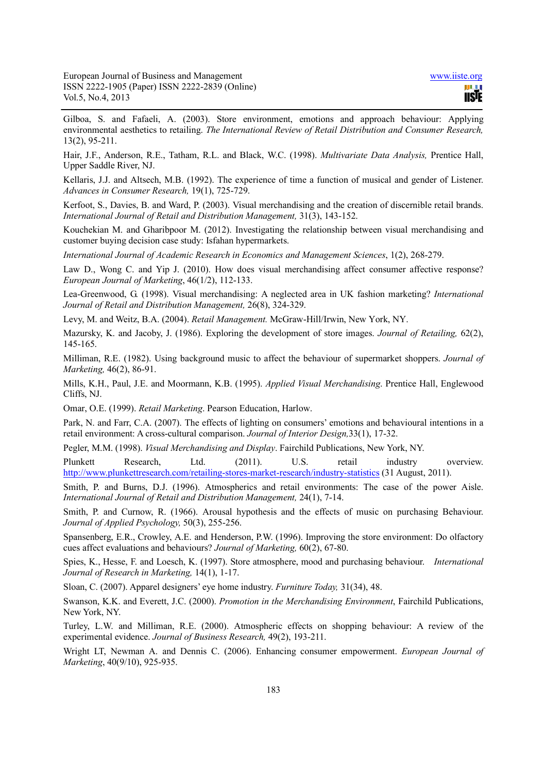11STE

Gilboa, S. and Fafaeli, A. (2003). Store environment, emotions and approach behaviour: Applying environmental aesthetics to retailing. *The International Review of Retail Distribution and Consumer Research,*  13(2), 95-211.

Hair, J.F., Anderson, R.E., Tatham, R.L. and Black, W.C. (1998). *Multivariate Data Analysis,* Prentice Hall, Upper Saddle River, NJ.

Kellaris, J.J. and Altsech, M.B. (1992). The experience of time a function of musical and gender of Listener. *Advances in Consumer Research,* 19(1), 725-729.

Kerfoot, S., Davies, B. and Ward, P. (2003). Visual merchandising and the creation of discernible retail brands. *International Journal of Retail and Distribution Management,* 31(3), 143-152.

Kouchekian M. and Gharibpoor M. (2012). Investigating the relationship between visual merchandising and customer buying decision case study: Isfahan hypermarkets.

*International Journal of Academic Research in Economics and Management Sciences*, 1(2), 268-279.

Law D., Wong C. and Yip J. (2010). How does visual merchandising affect consumer affective response? *European Journal of Marketing*, 46(1/2), 112-133.

Lea-Greenwood, G. (1998). Visual merchandising: A neglected area in UK fashion marketing? *International Journal of Retail and Distribution Management,* 26(8), 324-329.

Levy, M. and Weitz, B.A. (2004). *Retail Management.* McGraw-Hill/Irwin, New York, NY.

Mazursky, K. and Jacoby, J. (1986). Exploring the development of store images. *Journal of Retailing,* 62(2), 145-165.

Milliman, R.E. (1982). Using background music to affect the behaviour of supermarket shoppers. *Journal of Marketing,* 46(2), 86-91.

Mills, K.H., Paul, J.E. and Moormann, K.B. (1995). *Applied Visual Merchandising*. Prentice Hall, Englewood Cliffs, NJ.

Omar, O.E. (1999). *Retail Marketing*. Pearson Education, Harlow.

Park, N. and Farr, C.A. (2007). The effects of lighting on consumers' emotions and behavioural intentions in a retail environment: A cross-cultural comparison. *Journal of Interior Design,*33(1), 17-32.

Pegler, M.M. (1998). *Visual Merchandising and Display*. Fairchild Publications, New York, NY.

Plunkett Research, Ltd. (2011). U.S. retail industry overview. http://www.plunkettresearch.com/retailing-stores-market-research/industry-statistics (31 August, 2011).

Smith, P. and Burns, D.J. (1996). Atmospherics and retail environments: The case of the power Aisle. *International Journal of Retail and Distribution Management,* 24(1), 7-14.

Smith, P. and Curnow, R. (1966). Arousal hypothesis and the effects of music on purchasing Behaviour. *Journal of Applied Psychology,* 50(3), 255-256.

Spansenberg, E.R., Crowley, A.E. and Henderson, P.W. (1996). Improving the store environment: Do olfactory cues affect evaluations and behaviours? *Journal of Marketing,* 60(2), 67-80.

Spies, K., Hesse, F. and Loesch, K. (1997). Store atmosphere, mood and purchasing behaviour. *International Journal of Research in Marketing,* 14(1), 1-17.

Sloan, C. (2007). Apparel designers' eye home industry. *Furniture Today,* 31(34), 48.

Swanson, K.K. and Everett, J.C. (2000). *Promotion in the Merchandising Environment*, Fairchild Publications, New York, NY.

Turley, L.W. and Milliman, R.E. (2000). Atmospheric effects on shopping behaviour: A review of the experimental evidence. *Journal of Business Research,* 49(2), 193-211.

Wright LT, Newman A. and Dennis C. (2006). Enhancing consumer empowerment. *European Journal of Marketing*, 40(9/10), 925-935.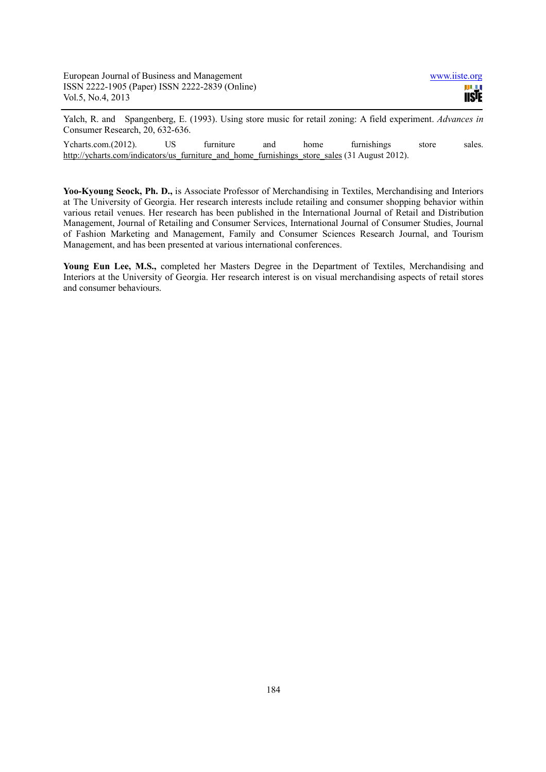Yalch, R. and Spangenberg, E. (1993). Using store music for retail zoning: A field experiment. *Advances in*  Consumer Research, 20, 632-636.

Ycharts.com.(2012). US furniture and home furnishings store sales. http://ycharts.com/indicators/us\_furniture\_and\_home\_furnishings\_store\_sales (31 August 2012).

**Yoo-Kyoung Seock, Ph. D.,** is Associate Professor of Merchandising in Textiles, Merchandising and Interiors at The University of Georgia. Her research interests include retailing and consumer shopping behavior within various retail venues. Her research has been published in the International Journal of Retail and Distribution Management, Journal of Retailing and Consumer Services, International Journal of Consumer Studies, Journal of Fashion Marketing and Management, Family and Consumer Sciences Research Journal, and Tourism Management, and has been presented at various international conferences.

**Young Eun Lee, M.S.,** completed her Masters Degree in the Department of Textiles, Merchandising and Interiors at the University of Georgia. Her research interest is on visual merchandising aspects of retail stores and consumer behaviours.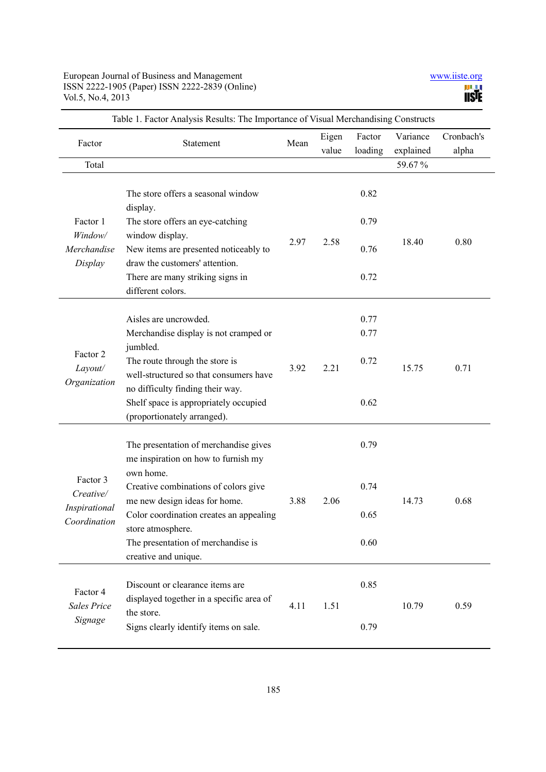| Factor                                                 | Table 1. Factor Analysis Results: The importance of Visual Merchandising Constructs<br>Statement                                   | Mean | Eigen<br>value | Factor<br>loading | Variance<br>explained | Cronbach's<br>alpha |
|--------------------------------------------------------|------------------------------------------------------------------------------------------------------------------------------------|------|----------------|-------------------|-----------------------|---------------------|
| Total                                                  |                                                                                                                                    |      |                |                   | 59.67%                |                     |
| Factor 1<br>Window/<br>Merchandise<br>Display          | The store offers a seasonal window<br>display.                                                                                     | 2.97 | 2.58           | 0.82              | 18.40                 | 0.80                |
|                                                        | The store offers an eye-catching                                                                                                   |      |                | 0.79              |                       |                     |
|                                                        | window display.<br>New items are presented noticeably to<br>draw the customers' attention.                                         |      |                | 0.76              |                       |                     |
|                                                        | There are many striking signs in<br>different colors.                                                                              |      |                | 0.72              |                       |                     |
|                                                        | Aisles are uncrowded.                                                                                                              |      |                | 0.77              |                       |                     |
| Factor 2<br>Layout/<br>Organization                    | Merchandise display is not cramped or                                                                                              | 3.92 | 2.21           | 0.77              | 15.75                 | 0.71                |
|                                                        | jumbled.<br>The route through the store is<br>well-structured so that consumers have                                               |      |                | 0.72              |                       |                     |
|                                                        | no difficulty finding their way.<br>Shelf space is appropriately occupied<br>(proportionately arranged).                           |      |                | 0.62              |                       |                     |
| Factor 3<br>Creative/<br>Inspirational<br>Coordination | The presentation of merchandise gives<br>me inspiration on how to furnish my<br>own home.                                          | 3.88 | 2.06           | 0.79              | 14.73                 | 0.68                |
|                                                        | Creative combinations of colors give<br>me new design ideas for home.                                                              |      |                | 0.74              |                       |                     |
|                                                        | Color coordination creates an appealing<br>store atmosphere.                                                                       |      |                | 0.65              |                       |                     |
|                                                        | The presentation of merchandise is<br>creative and unique.                                                                         |      |                | 0.60              |                       |                     |
| Factor 4<br>Sales Price<br>Signage                     | Discount or clearance items are<br>displayed together in a specific area of<br>the store.<br>Signs clearly identify items on sale. | 4.11 | 1.51           | 0.85              | 10.79                 | 0.59                |
|                                                        |                                                                                                                                    |      |                | 0.79              |                       |                     |

Table 1. Factor Analysis Results: The Importance of Visual Merchandising Constructs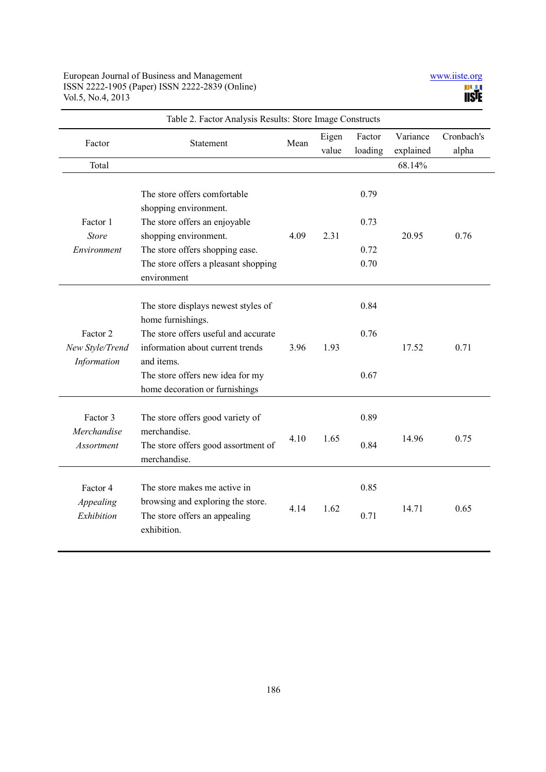| Table 2. Factor Analysis Results: Store Image Constructs |                                                                                                                                                                                                                          |      |                |                              |                       |                     |
|----------------------------------------------------------|--------------------------------------------------------------------------------------------------------------------------------------------------------------------------------------------------------------------------|------|----------------|------------------------------|-----------------------|---------------------|
| Factor                                                   | Statement                                                                                                                                                                                                                | Mean | Eigen<br>value | Factor<br>loading            | Variance<br>explained | Cronbach's<br>alpha |
| Total                                                    |                                                                                                                                                                                                                          |      |                |                              | 68.14%                |                     |
| Factor 1<br><b>Store</b><br>Environment                  | The store offers comfortable<br>shopping environment.<br>The store offers an enjoyable<br>shopping environment.<br>The store offers shopping ease.<br>The store offers a pleasant shopping                               | 4.09 | 2.31           | 0.79<br>0.73<br>0.72<br>0.70 | 20.95                 | 0.76                |
|                                                          | environment                                                                                                                                                                                                              |      |                |                              |                       |                     |
| Factor 2<br>New Style/Trend<br>Information               | The store displays newest styles of<br>home furnishings.<br>The store offers useful and accurate<br>information about current trends<br>and items.<br>The store offers new idea for my<br>home decoration or furnishings | 3.96 | 1.93           | 0.84<br>0.76<br>0.67         | 17.52                 | 0.71                |
| Factor 3<br>Merchandise<br>Assortment                    | The store offers good variety of<br>merchandise.<br>The store offers good assortment of<br>merchandise.                                                                                                                  | 4.10 | 1.65           | 0.89<br>0.84                 | 14.96                 | 0.75                |
| Factor 4<br>Appealing<br>Exhibition                      | The store makes me active in<br>browsing and exploring the store.<br>The store offers an appealing<br>exhibition.                                                                                                        | 4.14 | 1.62           | 0.85<br>0.71                 | 14.71                 | 0.65                |